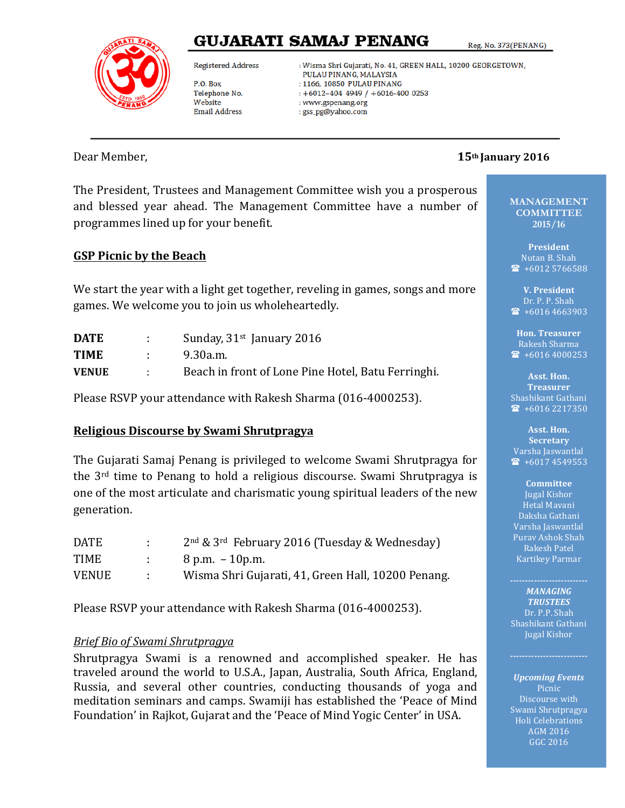# GUJARATI SAMAJ PENANG

Reg. No. 373(PENANG)



**Registered Address** 

P.O. Box Telephone No. Website **Email Address** 

: Wisma Shri Gujarati, No. 41, GREEN HALL, 10200 GEORGETOWN, PULAU PINANG, MALAYSIA : 1166, 10850 PULAU PINANG  $+6012-404$  4949 /  $+6016-400$  0253 : www.gspenang.org : gss\_pg@yahoo.com

### Dear Member,  **15th January 2016**

The President, Trustees and Management Committee wish you a prosperous and blessed year ahead. The Management Committee have a number of programmes lined up for your benefit.

# **GSP Picnic by the Beach**

We start the year with a light get together, reveling in games, songs and more games. We welcome you to join us wholeheartedly.

| <b>DATE</b>  | Sunday, $31st$ January 2016                        |
|--------------|----------------------------------------------------|
| <b>TIME</b>  | 9.30a.m.                                           |
| <b>VENUE</b> | Beach in front of Lone Pine Hotel, Batu Ferringhi. |

Please RSVP your attendance with Rakesh Sharma (016-4000253).

### **Religious Discourse by Swami Shrutpragya**

The Gujarati Samaj Penang is privileged to welcome Swami Shrutpragya for the  $3<sup>rd</sup>$  time to Penang to hold a religious discourse. Swami Shrutpragya is one of the most articulate and charismatic young spiritual leaders of the new generation.

| <b>DATE</b>  | di se          | $2nd$ & 3 <sup>rd</sup> February 2016 (Tuesday & Wednesday) |
|--------------|----------------|-------------------------------------------------------------|
| TIME         |                | $8$ p.m. $-10$ p.m.                                         |
| <b>VENUE</b> | <b>COLLEGE</b> | Wisma Shri Gujarati, 41, Green Hall, 10200 Penang.          |

Please RSVP vour attendance with Rakesh Sharma (016-4000253).

### *Brief Bio of Swami Shrutpragya*

Shrutpragya Swami is a renowned and accomplished speaker. He has traveled around the world to U.S.A., Japan, Australia, South Africa, England, Russia, and several other countries, conducting thousands of yoga and meditation seminars and camps. Swamiji has established the 'Peace of Mind Foundation' in Rajkot, Gujarat and the 'Peace of Mind Yogic Center' in USA.

**MANAGEMENT COMMITTEE 2015/16**

**President** Nutan B. Shah  $\textcircled{1}$  +6012 5766588

**V. President** Dr. P. P. Shah  $\bullet$  +6016 4663903

**Hon. Treasurer** Rakesh Sharma  $\sqrt{2}$  +6016 4000253

Asst. Hon. **Treasurer** Shashikant Gathani  $\bullet$  +6016 2217350

**Asst. Hon. Secretary** Varsha Jaswantlal  $\bullet$  +6017 4549553

#### **Committee**  Jugal Kishor Hetal Mavani Daksha Gathani Varsha Jaswantlal Purav Ashok Shah Rakesh Patel Kartikey Parmar

**MANAGING** *TRUSTEES*  Dr. P.P. Shah Shashikant Gathani Jugal Kishor

*Upcoming Events* Picnic Discourse with Swami Shrutpragya Holi Celebrations AGM 2016 GGC 2016